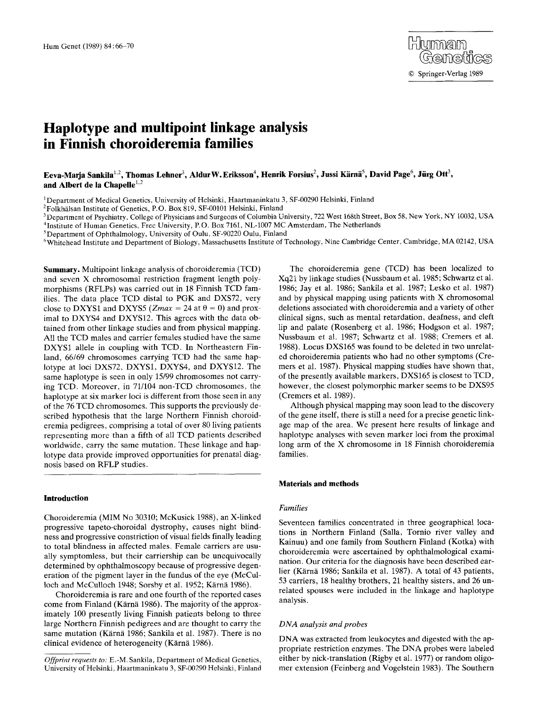# **Haplotype and multipoint linkage analysis in Finnish choroideremia families**

# Eeva-Marja Sankila<sup>1.2</sup>, Thomas Lehner<sup>3</sup>, Aldur W. Eriksson<sup>4</sup>, Henrik Forsius<sup>2</sup>, Jussi Kärnä<sup>5</sup>, David Page<sup>6</sup>, Jürg Ott<sup>3</sup>, and Albert de la Chapelle<sup>1,2</sup>

<sup>1</sup>Department of Medical Genetics, University of Helsinki, Haartmaninkatu 3, SF-00290 Helsinki, Finland

<sup>2</sup> Folkhälsan Institute of Genetics, P.O. Box 819, SF-00101 Helsinki, Finland

<sup>3</sup> Department of Psychiatry, College of Physicians and Surgeons of Columbia University, 722 West 168th Street, Box 58, New York, NY 10032, USA

4Institute of Human Genetics, Free University, P.O. Box 7161, NL-1007 MC Amsterdam, The Netherlands

5Department of Ophthalmology, University of Oulu, SF-90220 Oulu, Finland

6Whitehead Institute and Department of Biology, Massachusetts Institute of Technology, Nine Cambridge Center, Cambridge, MA 02142, USA

**Summary.** Multipoint linkage analysis of choroideremia (TCD) and seven X chromosomal restriction fragment length polymorphisms (RFLPs) was carried out in 18 Finnish TCD families. The data place TCD distal to PGK and DXS72, very close to DXYS1 and DXYS5 (*Zmax* = 24 at  $\theta$  = 0) and proximal to DXYS4 and DXYS12. This agrees with the data obtained from other linkage studies and from physical mapping. All the TCD males and carrier females studied have the same DXYS1 allele in coupling with TCD. In Northeastern Finland, 66/69 chromosomes carrying TCD had the same haplotype at loci DXS72, DXYS1, DXYS4, and DXYS12. The same haplotype is seen in only 15/99 chromosomes not carrying TCD. Moreover, in 71/104 non-TCD chromosomes, the haplotype at six marker loci is different from those seen in any of the 76 TCD chromosomes. This supports the previously described hypothesis that the large Northern Finnish choroideremia pedigrees, comprising a total of over 80 living patients representing more than a fifth of all TCD patients described worldwide, carry the same mutation. These linkage and haplotype data provide improved opportunities for prenatal diagnosis based on RFLP studies.

# **Introduction**

Choroideremia (MIM No 30310; McKusick 1988), an X-linked progressive tapeto-choroidal dystrophy, causes night blindness and progressive constriction of visual fields finally leading to total blindness in affected males. Female carriers are usually symptomless, but their carriership can be unequivocally determined by ophthalmoscopy because of progressive degeneration of the pigment layer in the fundus of the eye (McCulloch and McCulloch 1948; Sorsby et al. 1952; Kärnä 1986).

Choroideremia is rare and one fourth of the reported cases come from Finland (Kärnä 1986). The majority of the approximately 100 presently living Finnish patients belong to three large Northern Finnish pedigrees and are thought to carry the same mutation (Kärnä 1986; Sankila et al. 1987). There is no clinical evidence of heterogeneity (Kärnä 1986).

The choroideremia gene (TCD) has been localized to Xq21 by linkage studies (Nussbaum et al. 1985; Schwartz et al. 1986; Jay et al. 1986; Sankila et al. 1987; Lesko et al. 1987) and by physical mapping using patients with X chromosomal deletions associated with choroideremia and a variety of other clinical signs, such as mental retardation, deafness, and cleft lip and palate (Rosenberg et al. 1986; Hodgson et al. 1987; Nussbaum et al. 1987; Schwartz et al. 1988; Cremers et al. 1988). Locus DXS165 was found to be deleted in two unrelated choroideremia patients who had no other symptoms (Cremers et al. 1987). Physical mapping studies have shown that, of the presently available markers, DXS165 is closest to TCD, however, the closest polymorphic marker seems to be DXS95 (Cremers et al. 1989).

Although physical mapping may soon lead to the discovery of the gene itself, there is still a need for a precise genetic linkage map of the area. We present here results of linkage and haplotype analyses with seven marker loci from the proximal long arm of the X chromosome in 18 Finnish choroideremia families.

# **Materials and methods**

#### *Families*

Seventeen families concentrated in three geographical locations in Northern Finland (Salla, Tornio river valley and Kainuu) and one family from Southern Finland (Kotka) with choroideremia were ascertained by ophthalmological examination. Our criteria for the diagnosis have been described earlier (Kärnä 1986; Sankila et al. 1987). A total of 43 patients, 53 carriers, 18 healthy brothers, 21 healthy sisters, and 26 unrelated spouses were included in the linkage and haplotype analysis.

#### *DNA analysis and probes*

DNA was extracted from leukocytes and digested with the appropriate restriction enzymes. The DNA probes were labeled either by nick-translation (Rigby et al. 1977) or random oligomer extension (Feinberg and Vogelstein 1983). The Southern

*Offprint requests to:* E.-M. Sankila, Department of Medical Genetics, University of Helsinki, Haartmaninkatu 3, SF-00290 Helsinki, Finland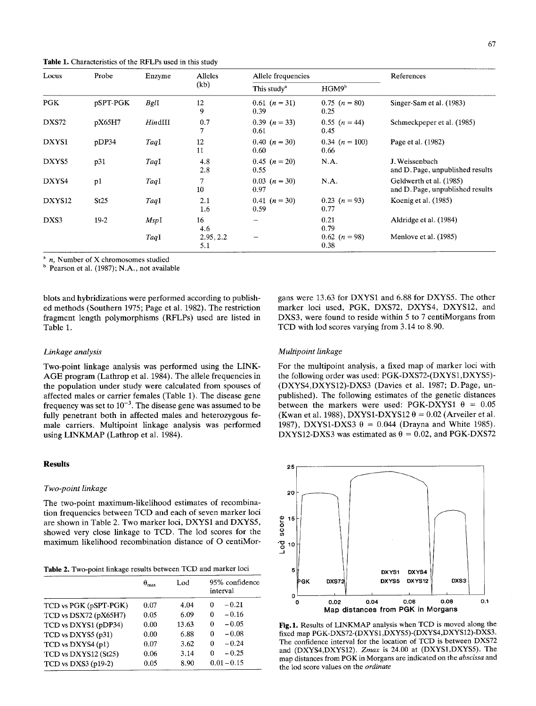**Table** 1. Characteristics of the RFLPs used in this study

| Locus              | Probe    | Enzyme  | Alleles<br>(kb)  | Allele frequencies        |                            | References                                                  |  |
|--------------------|----------|---------|------------------|---------------------------|----------------------------|-------------------------------------------------------------|--|
|                    |          |         |                  | This study <sup>a</sup>   | HGM9 <sup>b</sup>          |                                                             |  |
| PGK                | pSPT-PGK | BglI    | 12<br>9          | $0.61$ $(n = 31)$<br>0.39 | $0.75$ $(n = 80)$<br>0.25  | Singer-Sam et al. (1983)                                    |  |
| DXS72              | pX65H7   | HindIII | 0.7<br>7         | $0.39$ $(n = 33)$<br>0.61 | $0.55(n=44)$<br>0.45       | Schmeckpeper et al. (1985)                                  |  |
| DXYS1              | pDP34    | TaqI    | 12<br>11         | $0.40(n=30)$<br>0.60      | $0.34$ $(n = 100)$<br>0.66 | Page et al. (1982)                                          |  |
| DXYS5              | p31      | TaqI    | 4.8<br>2.8       | $0.45$ $(n = 20)$<br>0.55 | N.A.                       | J. Weissenbach<br>and D. Page, unpublished results          |  |
| DXYS4              | p1       | TaqI    | 7<br>10          | $0.03$ $(n = 30)$<br>0.97 | N.A.                       | Geldwerth et al. (1985)<br>and D. Page, unpublished results |  |
| DXYS <sub>12</sub> | St25     | TaqI    | 2.1<br>1.6       | $0.41(n=30)$<br>0.59      | $0.23$ $(n = 93)$<br>0.77  | Koenig et al. (1985)                                        |  |
| DXS3               | $19-2$   | MspI    | 16<br>4.6        |                           | 0.21<br>0.79               | Aldridge et al. (1984)                                      |  |
|                    |          | TagI    | 2.95, 2.2<br>5.1 |                           | $0.62$ $(n = 98)$<br>0.38  | Menlove et al. (1985)                                       |  |

*a n,* Number of X chromosomes studied

<sup>b</sup> Pearson et al. (1987); N.A., not available

blots and hybridizations were performed according to published methods (Southern 1975; Page et al. 1982). The restriction fragment length polymorphisms (RFLPs) used are listed in Table 1.

# *Linkage analysis*

Two-point linkage analysis was performed using the LINK-AGE program (Lathrop et al. 1984). The allele frequencies in the population under study were calculated from spouses of affected males or carrier females (Table 1). The disease gene frequency was set to  $10^{-3}$ . The disease gene was assumed to be fully penetrant both in affected males and heterozygous female carriers. Multipoint linkage analysis was performed using LINKMAP (Lathrop et al. 1984).

# **Results**

#### *Two-point linkage*

The two-point maximum-likelihood estimates of recombination frequencies between TCD and each of seven marker loci are shown in Table 2. Two marker loci, DXYS1 and DXYS5, showed very close linkage to TCD. The lod scores for the maximum likelihood recombination distance of O centiMor-

**Table** 2. Two-point linkage results between TCD and marker loci

|                       | $\theta_{\text{max}}$<br>0.07 | Lod<br>4.04 | 95% confidence<br>interval |  |  |
|-----------------------|-------------------------------|-------------|----------------------------|--|--|
| TCD vs PGK (pSPT-PGK) |                               |             | $-0.21$<br>0               |  |  |
| TCD vs DSX72 (pX65H7) | 0.05                          | 6.09        | $-0.16$<br>0               |  |  |
| TCD vs DXYS1 (pDP34)  | 0.00                          | 13.63       | $-0.05$<br>0               |  |  |
| TCD vs DXYS5 (p31)    | 0.00                          | 6.88        | $-0.08$<br>0               |  |  |
| TCD vs DXYS4 (p1)     | 0.07                          | 3.62        | $-0.24$<br>0               |  |  |
| TCD vs DXYS12 (St25)  | 0.06                          | 3.14        | $-0.25$<br>0               |  |  |
| TCD vs DXS3 $(p19-2)$ | 0.05                          | 8.90        | $0.01 - 0.15$              |  |  |

gans were 13.63 for DXYS1 and 6.88 for DXYS5. The other marker loci used, PGK, DXS72, DXYS4, DXYS12, and DXS3, were found to reside within 5 to 7 centiMorgans from TCD with lod scores varying from 3.14 to 8.90.

# *Multipoint linkage*

For the multipoint analysis, a fixed map of marker loci with the following order was used: PGK-DXS72-(DXYS1,DXYS5)- (DXYS4,DXYS12)-DXS3 (Davies et al. 1987; D.Page, unpublished). The following estimates of the genetic distances between the markers were used: PGK-DXYS1  $\theta = 0.05$ (Kwan et al. 1988), DXYS1-DXYS12  $\theta = 0.02$  (Arveiler et al. 1987), DXYS1-DXS3  $\theta = 0.044$  (Drayna and White 1985). DXYS12-DXS3 was estimated as  $\theta = 0.02$ , and PGK-DXS72



Fig.1. Results of LINKMAP analysis when TCD is moved along the fixed map PGK-DXS72-(DXYS1,DXYS5)-(DXYS4,DXYS12)-DXS3. The confidence interval for the location of TCD is between DXS72 and (DXYS4,DXYS12). *Zmax* is 24.00 at (DXYS1,DXYS5). The map distances from PGK in Morgans are indicated on the *abscissa* and the lod score values on the *ordinate*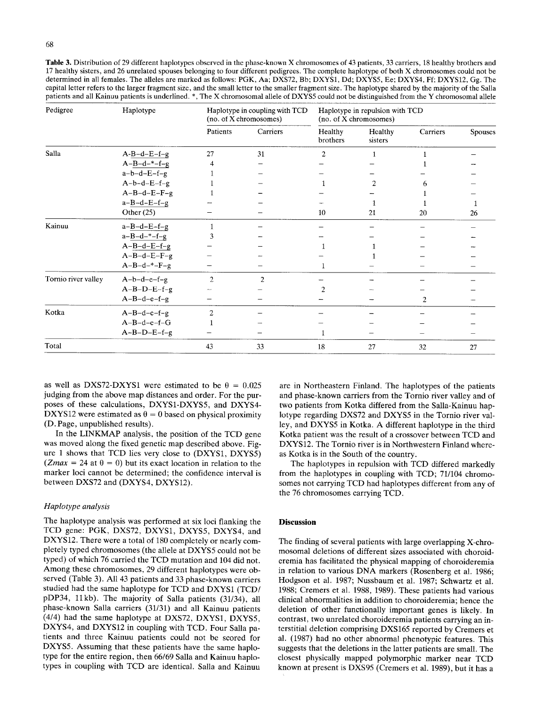Table 3. Distribution of 29 different haplotypes observed in the phase-known X chromosomes of 43 patients, 33 carriers, 18 healthy brothers and 17 healthy sisters, and 26 unrelated spouses belonging to four different pedigrees. The complete haplotype of both X chromosomes could not be determined in all females. The alleles are marked as follows: PGK, Aa; DXS72, Bb; DXYS1, Dd; DXYS5, Ee; DXYS4, Ff; DXYS12, Gg. The capital letter refers to the larger fragment size, and the small letter to the smaller fragment size. The haplotype shared by the majority of the Salla patients and all Kainuu patients is underlined. \*, The X chromosomal allele of DXYS5 could not be distinguished from the Y chromosomal allele

| Pedigree            | Haplotype               | Haplotype in coupling with TCD<br>(no. of X chromosomes) |          | Haplotype in repulsion with TCD<br>(no. of X chromosomes) |                    |          |                |
|---------------------|-------------------------|----------------------------------------------------------|----------|-----------------------------------------------------------|--------------------|----------|----------------|
|                     |                         | Patients                                                 | Carriers | Healthy<br>brothers                                       | Healthy<br>sisters | Carriers | <b>Spouses</b> |
| Salla               | $A-B-d-E-f-g$           | 27                                                       | 31       | $\overline{c}$                                            |                    |          |                |
|                     | $A - B - d - -f - g$    |                                                          |          |                                                           |                    |          |                |
|                     | $a-b-d-E-f-g$           |                                                          |          |                                                           |                    |          |                |
|                     | $A-b-d-E-f-g$           |                                                          |          |                                                           | 2                  | h        |                |
|                     | $A-B-d-E-F-g$           |                                                          |          |                                                           |                    |          |                |
|                     | $a - B - d - E - f - g$ |                                                          |          |                                                           |                    |          |                |
|                     | Other $(25)$            |                                                          |          | 10                                                        | 21                 | 20       | 26             |
| Kainuu              | $a - B - d - E - f - g$ |                                                          |          |                                                           |                    |          |                |
|                     | $a - B - d - -f - g$    |                                                          |          |                                                           |                    |          |                |
|                     | $A-B-d-E-f-g$           |                                                          |          |                                                           |                    |          |                |
|                     | $A-B-d-E-F-g$           |                                                          |          |                                                           |                    |          |                |
|                     | $A-B-d-*-F-g$           |                                                          |          |                                                           |                    |          |                |
| Tornio river valley | $A-b-d-e-f-g$           | $\overline{c}$                                           | 2        |                                                           |                    |          |                |
|                     | $A-B-D-E-f-g$           |                                                          |          |                                                           |                    |          |                |
|                     | $A-B-d-e-f-g$           |                                                          |          |                                                           |                    | 2        |                |
| Kotka               | $A-B-d-e-f-g$           | $\overline{2}$                                           |          |                                                           |                    |          |                |
|                     | $A-B-d-e-f-G$           |                                                          |          |                                                           |                    |          |                |
|                     | $A-B-D-E-f-g$           |                                                          |          |                                                           |                    |          |                |
| Total               |                         | 43                                                       | 33       | 18                                                        | 27                 | 32       | 27             |

as well as DXS72-DXYS1 were estimated to be  $\theta = 0.025$ judging from the above map distances and order. For the purposes of these calculations, DXYS1-DXYS5, and DXYS4- DXYS12 were estimated as  $\theta = 0$  based on physical proximity (D. Page, unpublished results).

In the LINKMAP analysis, the position of the TCD gene was moved along the fixed genetic map described above. Figure 1 shows that TCD lies very close to (DXYS1, DXYS5)  $(Zmax = 24$  at  $\theta = 0)$  but its exact location in relation to the marker loci cannot be determined; the confidence interval is between DXS72 and (DXYS4, DXYS12).

# *Haplotype analysis*

The haplotype analysis was performed at six loci flanking the TCD gene: PGK, DXS72, DXYS1, DXYS5, DXYS4, and DXYS12. There were a total of 180 completely or nearly completely typed chromosomes (the allele at DXYS5 could not be typed) of which 76 carried the TCD mutation and 104 did not. Among these chromosomes, 29 different haplotypes were observed (Table 3). All 43 patients and 33 phase-known carriers studied had the same haplotype for TCD and DXYS1 (TCD/ pDP34, 11kb). The majority of Salla patients (31/34), all phase-known Salla carriers (31131) and all Kainuu patients (4/4) had the same haplotype at DXS72, DXYS1, DXYS5, DXYS4, and DXYS12 in coupling with TCD. Four Salla patients and three Kainuu patients could not be scored for DXYS5. Assuming that these patients have the same haplotype for the entire region, then 66/69 Salla and Kainuu haplotypes in coupling with TCD are identical. Salla and Kainuu

are in Northeastern Finland. The haplotypes of the patients and phase-known carriers from the Tornio river valley and of two patients from Kotka differed from the Salla-Kainuu haplotype regarding DXS72 and DXYS5 in the Tornio river valley, and DXYS5 in Kotka. A different haplotype in the third Kotka patient was the result of a crossover between TCD and DXYS12. The Tornio river is in Northwestern Finland whereas Kotka is in the South of the country.

The haplotypes in repulsion with TCD differed markedly from the haplotypes in coupling with TCD; 71/104 chromosomes not carrying TCD had haplotypes different from any of the 76 chromosomes carrying TCD.

# **Discussion**

The finding of several patients with large overlapping X-chromosomal deletions of different sizes associated with choroideremia has facilitated the physical mapping of choroideremia in relation to various DNA markers (Rosenberg et al. 1986; Hodgson et al. 1987; Nussbaum et al. 1987; Schwartz et al. 1988; Cremers et al. 1988, 1989). These patients had various clinical abnormalities in addition to choroideremia; hence the deletion of other functionally important genes is likely. In contrast, two unrelated choroideremia patients carrying an interstitial deletion comprising DXS165 reported by Cremers et al. (1987) had no other abnormal phenotypic features. This suggests that the deletions in the latter patients are small. The closest physically mapped polymorphic marker near TCD known at present is DXS95 (Cremers et al. 1989), but it has a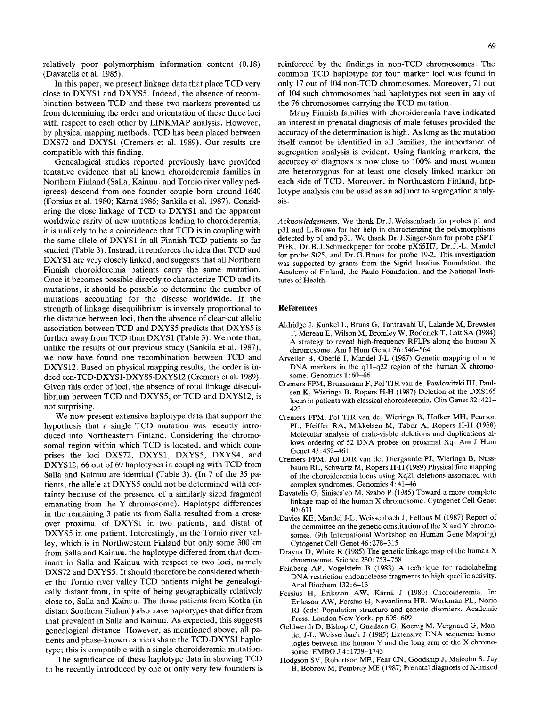relatively poor polymorphism information content (0.18) (Davatelis et al. 1985).

In this paper, we present linkage data that place TCD very close to DXYS1 and DXYS5. Indeed, the absence of recombination between TCD and these two markers prevented us from determining the order and orientation of these three loci with respect to each other by LINKMAP analysis. However, by physical mapping methods, TCD has been placed between DXS72 and DXYS1 (Cremers et al. 1989). Our results are compatible with this finding.

Genealogical studies reported previously have provided tentative evidence that all known choroideremia families in Northern Finland (Salla, Kainuu, and Tornio river valley pedigrees) descend from one founder couple born around 1640 (Forsius et al. 1980; Kärnä 1986; Sankila et al. 1987). Considering the close linkage of TCD to DXYS1 and the apparent worldwide rarity of new mutations leading to choroideremia, it is unlikely to be a coincidence that TCD is in coupling with the same allele of DXYS1 in all Finnish TCD patients so far studied (Table 3). Instead, it reinforces the idea that TCD and DXYS1 are very closely linked, and suggests that all Northern Finnish choroideremia patients carry the same mutation. Once it becomes possible directly to characterize TCD and its mutations, it should be possible to determine the number of mutations accounting for the disease worldwide. If the strength of linkage disequilibrium is inversely proportional to the distance between loci, then the absence of clear-cut allelic association between TCD and DXYS5 predicts that DXYS5 is further away from TCD than DXYS1 (Table 3). We note that, unlike the results of our previous study (Sankila et al. 1987), we now have found one recombination between TCD and DXYS12. Based on physical mapping results, the order is indeed cen-TCD-DXYS1-DXYS5-DXYS12 (Cremers et al. 1989). Given this order of loci, the absence of total linkage disequilibrium between TCD and DXYS5, or TCD and DXYS12, is not surprising.

We now present extensive haplotype data that support the hypothesis that a single TCD mutation was recently introduced into Northeastern Finland. Considering the chromosomal region within which TCD is located, and which comprises the loci DXS72, DXYS1, DXYS5, DXYS4, and DXYS12, 66 out of 69 haplotypes in coupling with TCD from Salla and Kainuu are identical (Table 3). (In 7 of the 35 patients, the allele at DXYS5 could not be determined with certainty because of the presence of a similarly sized fragment emanating from the Y chromosome). Haplotype differences in the remaining 3 patients from Salla resulted from a crossover proximal of DXYS1 in two patients, and distal of DXYS5 in one patient. Interestingly, in the Tornio river valley, which is in Northwestern Finland but only some 300 km from Salla and Kainuu, the haplotype differed from that dominant in Salla and Kainuu with respect to two loci, namely DXS72 and DXYS5. It should therefore be considered whether the Tornio river valley TCD patients might be genealogically distant from, in spite of being geographically relatively close to, Salla and Kainuu. The three patients from Kotka (in distant Southern Finland) also have haplotypes that differ from that prevalent in Salla and Kainuu. As expected, this suggests genealogical distance. However, as mentioned above, all patients and phase-known carriers share the TCD-DXYS1 haplotype; this is compatible with a single choroideremia mutation.

The significance of these haplotype data in showing TCD to be recently introduced by one or only very few founders is reinforced by the findings in non-TCD chromosomes. The common TCD haplotype for four marker loci was found in only 17 out of 104 non-TCD chromosomes. Moreover, 71 out of 104 such chromosomes had haplotypes not seen in any of the 76 chromosomes carrying the TCD mutation.

Many Finnish families with choroideremia have indicated an interest in prenatal diagnosis of male fetuses provided the accuracy of the determination is high. As long as the mutation itself cannot be identified in all families, the importance of segregation analysis is evident. Using flanking markers, the accuracy of diagnosis is now close to 100% and most women are heterozygous for at least one closely linked marker on each side of TCD. Moreover, in Northeastern Finland, haplotype analysis can be used as an adjunct to segregation analysis.

*Acknowledgements.* We thank Dr. J. Weissenbach for probes pl and p31 and L. Brown for her help in characterizing the polymorphisms detected by pl and p31. We thank Dr. J. Singer-Sam for probe pSPT-PGK, Dr. B. J. Schmeckpeper for probe pX65H7, Dr. J.-L. Mandel for probe St25, and Dr. G. Bruns for probe 19-2. This investigation was supported by grants from the Sigrid Juselius Foundation, the Academy of Finland, the Paulo Foundation, and the National Institutes of Health.

#### **References**

- Aldridge J, Kunkel L, Bruns G, Tantravahi U, Lalande M, Brewster T, Moreau E, Wilson M, Bromley W, Roderick T, Latt SA (1984) A strategy to reveal high-frequency RFLPs along the human X chromosome. Am J Hum Genet 36 : 546-564
- Arveiler B, Oberlé I, Mandel J-L (1987) Genetic mapping of nine DNA markers in the qll-q22 region of the human X chromosome. Genomics 1 : 60-66
- Cremers FPM, Brunsmann F, Pol TJR van de, Pawlowitzki IH, Paulsen K, Wieringa B, Ropers H-H (1987) Deletion of the DXS165 locus in patients with classical choroideremia. Clin Genet 32: 421- 423
- Cremers FPM, Pol TJR van de, Wieringa B, Hofker MH, Pearson PL, Pfeiffer RA, Mikkelsen M, Tabor A, Ropers H-H (1988) Molecular analysis of male-viable deletions and duplications allows ordering of 52 DNA probes on proximal Xq. Am J Hum Genet 43 : 452-461
- Cremers FPM, Pol DJR van de, Diergaarde PJ, Wieringa B, Nussbaum RL, Schwartz M, Ropers H-H (1989) Physical fine mapping of the choroideremia locus using Xq21 deletions associated with complex syndromes. Genomics 4: 41-46
- Davatelis G, Siniscalco M, Szabo P (1985) Toward a more complete linkage map of the human X chromosome. Cytogenet Cell Genet 40:611
- Davies KE, Mandel J-L, Weissenbach J, Fellous M (1987) Report of the committee on the genetic constitution of the X and Y chromosomes. (9th International Workshop on Human Gene Mapping) Cytogenet Cell Genet 46 : 278-315
- Drayna D, White R (1985) The genetic linkage map of the human X chromosome. Science 230 : 753-758
- Feinberg AP, Vogelstein B (1983) A technique for radiolabeling DNA restriction endonuclease fragments to high specific activity. Anal Biochem 132:6-13
- Forsius H, Eriksson AW, Kärnä J (1980) Choroideremia. In: Eriksson AW, Forsius H, Nevanlinna HR, Workman PL, Norio RJ (eds) Population structure and genetic disorders. Academic Press, London New York, pp 605-609
- Geldwerth D, Bishop C, Guellaen G, Koenig M, Vergnaud G, Mandel J-L, Weissenbach J (1985) Extensive DNA sequence homologies between the human Y and the long arm of the X chromosome. EMBO J 4:1739-1743
- Hodgson SV, Robertson ME, Fear CN, Goodship J, Malcolm S, Jay B, Bobrow M, Pembrey ME (1987) Prenatal diagnosis of X-linked